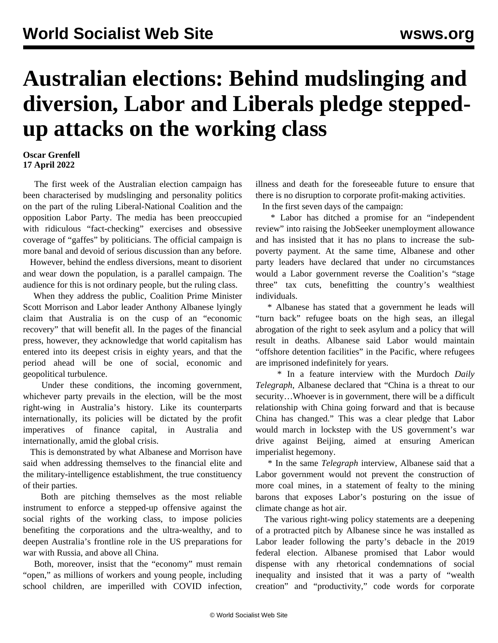## **Australian elections: Behind mudslinging and diversion, Labor and Liberals pledge steppedup attacks on the working class**

## **Oscar Grenfell 17 April 2022**

 The first week of the Australian election campaign has been characterised by mudslinging and personality politics on the part of the ruling Liberal-National Coalition and the opposition Labor Party. The media has been preoccupied with ridiculous "fact-checking" exercises and obsessive coverage of "gaffes" by politicians. The official campaign is more banal and devoid of serious discussion than any before.

 However, behind the endless diversions, meant to disorient and wear down the population, is a parallel campaign. The audience for this is not ordinary people, but the ruling class.

 When they address the public, Coalition Prime Minister Scott Morrison and Labor leader Anthony Albanese lyingly claim that Australia is on the cusp of an "economic recovery" that will benefit all. In the pages of the financial press, however, they acknowledge that world capitalism has entered into its deepest crisis in eighty years, and that the period ahead will be one of social, economic and geopolitical turbulence.

 Under these conditions, the incoming government, whichever party prevails in the election, will be the most right-wing in Australia's history. Like its counterparts internationally, its policies will be dictated by the profit imperatives of finance capital, in Australia and internationally, amid the global crisis.

 This is demonstrated by what Albanese and Morrison have said when addressing themselves to the financial elite and the military-intelligence establishment, the true constituency of their parties.

 Both are pitching themselves as the most reliable instrument to enforce a stepped-up offensive against the social rights of the working class, to impose policies benefiting the corporations and the ultra-wealthy, and to deepen Australia's frontline role in the US preparations for war with Russia, and above all China.

 Both, moreover, insist that the "economy" must remain "open," as millions of workers and young people, including school children, are imperilled with COVID infection, illness and death for the foreseeable future to ensure that there is no disruption to corporate profit-making activities.

In the first seven days of the campaign:

 \* Labor has ditched a promise for an "independent review" into raising the JobSeeker unemployment allowance and has insisted that it has no plans to increase the subpoverty payment. At the same time, Albanese and other party leaders have declared that under no circumstances would a Labor government reverse the Coalition's "stage three" tax cuts, benefitting the country's wealthiest individuals.

 \* Albanese has stated that a government he leads will "turn back" refugee boats on the high seas, an illegal abrogation of the right to seek asylum and a policy that will result in deaths. Albanese said Labor would maintain "offshore detention facilities" in the Pacific, where refugees are imprisoned indefinitely for years.

 \* In a feature interview with the Murdoch *Daily Telegraph*, Albanese declared that "China is a threat to our security…Whoever is in government, there will be a difficult relationship with China going forward and that is because China has changed." This was a clear pledge that Labor would march in lockstep with the US government's war drive against Beijing, aimed at ensuring American imperialist hegemony.

 \* In the same *Telegraph* interview, Albanese said that a Labor government would not prevent the construction of more coal mines, in a statement of fealty to the mining barons that exposes Labor's posturing on the issue of climate change as hot air.

 The various right-wing policy statements are a deepening of a protracted pitch by Albanese since he was installed as Labor leader following the party's debacle in the 2019 federal election. Albanese promised that Labor would dispense with any rhetorical condemnations of social inequality and insisted that it was a party of "wealth creation" and "productivity," code words for corporate